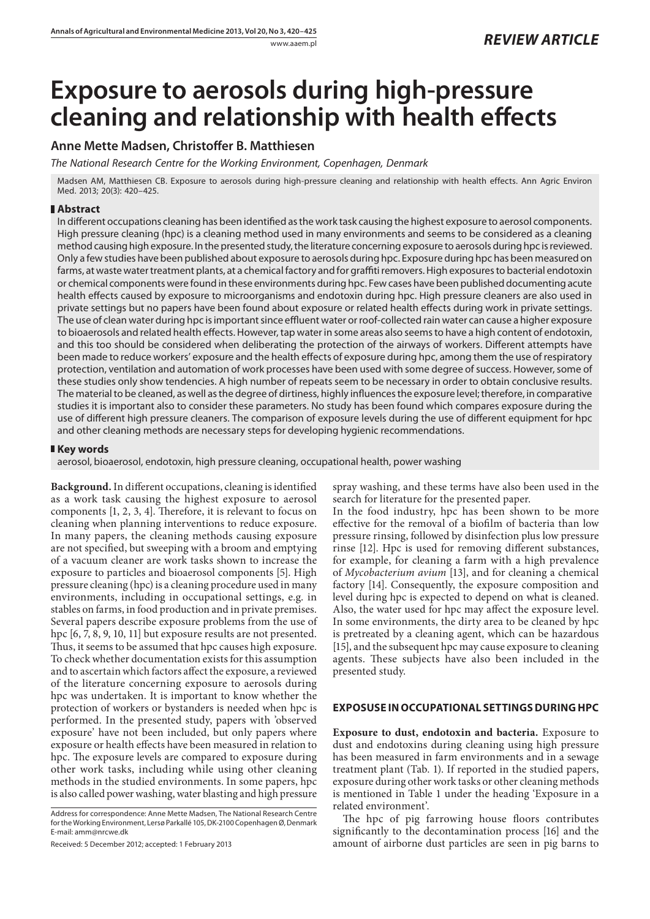# **Exposure to aerosols during high-pressure cleaning and relationship with health effects**

# **Anne Mette Madsen, Christoffer B. Matthiesen**

*The National Research Centre for the Working Environment, Copenhagen, Denmark*

Madsen AM, Matthiesen CB. Exposure to aerosols during high-pressure cleaning and relationship with health effects. Ann Agric Environ Med. 2013; 20(3): 420–425.

### **Abstract**

In different occupations cleaning has been identified as the work task causing the highest exposure to aerosol components. High pressure cleaning (hpc) is a cleaning method used in many environments and seems to be considered as a cleaning method causing high exposure. In the presented study, the literature concerning exposure to aerosols during hpc is reviewed. Only a few studies have been published about exposure to aerosols during hpc. Exposure during hpc has been measured on farms, at waste water treatment plants, at a chemical factory and for graffiti removers. High exposures to bacterial endotoxin or chemical components were found in these environments during hpc. Few cases have been published documenting acute health effects caused by exposure to microorganisms and endotoxin during hpc. High pressure cleaners are also used in private settings but no papers have been found about exposure or related health effects during work in private settings. The use of clean water during hpc is important since effluent water or roof-collected rain water can cause a higher exposure to bioaerosols and related health effects. However, tap water in some areas also seems to have a high content of endotoxin, and this too should be considered when deliberating the protection of the airways of workers. Different attempts have been made to reduce workers' exposure and the health effects of exposure during hpc, among them the use of respiratory protection, ventilation and automation of work processes have been used with some degree of success. However, some of these studies only show tendencies. A high number of repeats seem to be necessary in order to obtain conclusive results. The material to be cleaned, as well as the degree of dirtiness, highly influences the exposure level; therefore, in comparative studies it is important also to consider these parameters. No study has been found which compares exposure during the use of different high pressure cleaners. The comparison of exposure levels during the use of different equipment for hpc and other cleaning methods are necessary steps for developing hygienic recommendations.

## **Key words**

aerosol, bioaerosol, endotoxin, high pressure cleaning, occupational health, power washing

**Background.** In different occupations, cleaning is identified as a work task causing the highest exposure to aerosol components [1, 2, 3, 4]. Therefore, it is relevant to focus on cleaning when planning interventions to reduce exposure. In many papers, the cleaning methods causing exposure are not specified, but sweeping with a broom and emptying of a vacuum cleaner are work tasks shown to increase the exposure to particles and bioaerosol components [5]. High pressure cleaning (hpc) is a cleaning procedure used in many environments, including in occupational settings, e.g. in stables on farms, in food production and in private premises. Several papers describe exposure problems from the use of hpc [6, 7, 8, 9, 10, 11] but exposure results are not presented. Thus, it seems to be assumed that hpc causes high exposure. To check whether documentation exists for this assumption and to ascertain which factors affect the exposure, a reviewed of the literature concerning exposure to aerosols during hpc was undertaken. It is important to know whether the protection of workers or bystanders is needed when hpc is performed. In the presented study, papers with 'observed exposure' have not been included, but only papers where exposure or health effects have been measured in relation to hpc. The exposure levels are compared to exposure during other work tasks, including while using other cleaning methods in the studied environments. In some papers, hpc is also called power washing, water blasting and high pressure

spray washing, and these terms have also been used in the search for literature for the presented paper.

In the food industry, hpc has been shown to be more effective for the removal of a biofilm of bacteria than low pressure rinsing, followed by disinfection plus low pressure rinse [12]. Hpc is used for removing different substances, for example, for cleaning a farm with a high prevalence of *Mycobacterium avium* [13], and for cleaning a chemical factory [14]. Consequently, the exposure composition and level during hpc is expected to depend on what is cleaned. Also, the water used for hpc may affect the exposure level. In some environments, the dirty area to be cleaned by hpc is pretreated by a cleaning agent, which can be hazardous [15], and the subsequent hpc may cause exposure to cleaning agents. These subjects have also been included in the presented study.

#### **EXPOSUSE IN OCCUPATIONAL SETTINGS DURING HPC**

**Exposure to dust, endotoxin and bacteria.** Exposure to dust and endotoxins during cleaning using high pressure has been measured in farm environments and in a sewage treatment plant (Tab. 1). If reported in the studied papers, exposure during other work tasks or other cleaning methods is mentioned in Table 1 under the heading 'Exposure in a related environment'.

The hpc of pig farrowing house floors contributes significantly to the decontamination process [16] and the amount of airborne dust particles are seen in pig barns to

Address for correspondence: Anne Mette Madsen, The National Research Centre for the Working Environment, Lersø Parkallé 105, DK-2100 Copenhagen Ø, Denmark E-mail: amm@nrcwe.dk

Received: 5 December 2012; accepted: 1 February 2013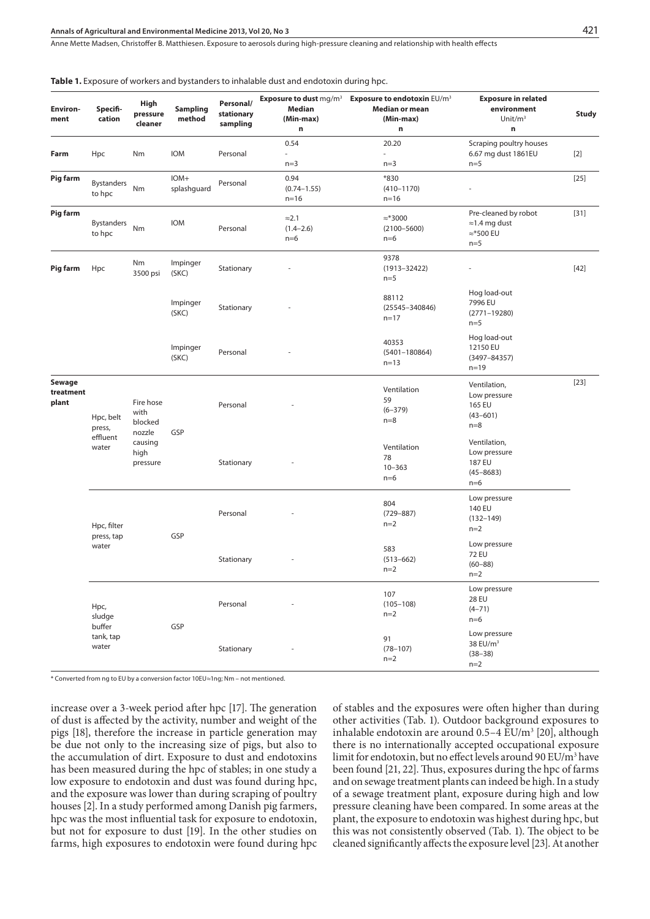Anne Mette Madsen, Christoffer B. Matthiesen . Exposure to aerosols during high-pressure cleaning and relationship with health effects

| Environ-<br>ment             | Specifi-<br>cation           | High<br>pressure<br>cleaner           | <b>Sampling</b><br>method | Personal/<br>stationary<br>sampling | Median<br>(Min-max)<br>n                | <b>Exposure to dust mg/m<sup>3</sup> Exposure to endotoxin EU/m<sup>3</sup></b><br>Median or mean<br>(Min-max)<br>$\mathsf n$ | <b>Exposure in related</b><br>environment<br>Unit/ $m3$<br>n                | <b>Study</b> |
|------------------------------|------------------------------|---------------------------------------|---------------------------|-------------------------------------|-----------------------------------------|-------------------------------------------------------------------------------------------------------------------------------|-----------------------------------------------------------------------------|--------------|
| Farm                         | Hpc                          | Nm                                    | <b>IOM</b>                | Personal                            | 0.54<br>÷,<br>$n=3$                     | 20.20<br>$n=3$                                                                                                                | Scraping poultry houses<br>6.67 mg dust 1861EU<br>$n=5$                     | $[2]$        |
| <b>Pig farm</b>              | <b>Bystanders</b><br>to hpc  | Nm                                    | IOM+<br>splashquard       | Personal                            | 0.94<br>$(0.74 - 1.55)$<br>$n = 16$     | *830<br>$(410 - 1170)$<br>$n = 16$                                                                                            | ä,                                                                          | $[25]$       |
| Pig farm                     | <b>Bystanders</b><br>to hpc  | Nm                                    | <b>IOM</b>                | Personal                            | $\approx$ 2.1<br>$(1.4 - 2.6)$<br>$n=6$ | $\approx$ *3000<br>$(2100 - 5600)$<br>$n=6$                                                                                   | Pre-cleaned by robot<br>$\approx$ 1.4 mg dust<br>$\approx$ *500 EU<br>$n=5$ | $[31]$       |
| Pig farm                     | Hpc                          | Nm<br>3500 psi                        | Impinger<br>(SKC)         | Stationary                          |                                         | 9378<br>$(1913 - 32422)$<br>$n=5$                                                                                             | ÷,                                                                          | $[42]$       |
|                              |                              |                                       | Impinger<br>(SKC)         | Stationary                          |                                         | 88112<br>$(25545 - 340846)$<br>$n = 17$                                                                                       | Hog load-out<br>7996 EU<br>$(2771 - 19280)$<br>$n=5$                        |              |
|                              |                              |                                       | Impinger<br>(SKC)         | Personal                            |                                         | 40353<br>$(5401 - 180864)$<br>$n = 13$                                                                                        | Hog load-out<br>12150 EU<br>$(3497 - 84357)$<br>$n = 19$                    |              |
| Sewage<br>treatment<br>plant | Hpc, belt<br>press,          | Fire hose<br>with<br>blocked          | GSP                       | Personal                            |                                         | Ventilation<br>59<br>$(6 - 379)$<br>$n=8$                                                                                     | Ventilation,<br>Low pressure<br>165 EU<br>$(43 - 601)$<br>$n=8$             | $[23]$       |
|                              | effluent<br>water            | nozzle<br>causing<br>high<br>pressure |                           | Stationary                          |                                         | Ventilation<br>78<br>$10 - 363$<br>$n=6$                                                                                      | Ventilation,<br>Low pressure<br>187 EU<br>$(45 - 8683)$<br>$n=6$            |              |
|                              | Hpc, filter                  |                                       | GSP                       | Personal                            |                                         | 804<br>$(729 - 887)$<br>$n=2$                                                                                                 | Low pressure<br>140 EU<br>$(132 - 149)$<br>$n=2$                            |              |
|                              | press, tap<br>water          |                                       |                           | Stationary                          |                                         | 583<br>$(513 - 662)$<br>$n=2$                                                                                                 | Low pressure<br><b>72 EU</b><br>$(60 - 88)$<br>$n=2$                        |              |
|                              | Hpc,<br>sludge               |                                       |                           | Personal                            |                                         | 107<br>$(105 - 108)$<br>$n=2$                                                                                                 | Low pressure<br><b>28 EU</b><br>$(4 - 71)$<br>$n=6$                         |              |
|                              | buffer<br>tank, tap<br>water |                                       | GSP                       | Stationary                          |                                         | 91<br>$(78 - 107)$<br>$n=2$                                                                                                   | Low pressure<br>38 EU/m <sup>3</sup><br>$(38 - 38)$<br>$n=2$                |              |

**Table 1.** Exposure of workers and bystanders to inhalable dust and endotoxin during hpc.

\* Converted from ng to EU by a conversion factor 10EU≈1ng; Nm – not mentioned.

increase over a 3-week period after hpc [17]. The generation of dust is affected by the activity, number and weight of the pigs [18], therefore the increase in particle generation may be due not only to the increasing size of pigs, but also to the accumulation of dirt. Exposure to dust and endotoxins has been measured during the hpc of stables; in one study a low exposure to endotoxin and dust was found during hpc, and the exposure was lower than during scraping of poultry houses [2]. In a study performed among Danish pig farmers, hpc was the most influential task for exposure to endotoxin, but not for exposure to dust [19]. In the other studies on farms, high exposures to endotoxin were found during hpc of stables and the exposures were often higher than during other activities (Tab. 1). Outdoor background exposures to inhalable endotoxin are around  $0.5-4$  EU/m<sup>3</sup> [20], although there is no internationally accepted occupational exposure limit for endotoxin, but no effect levels around 90 EU/m<sup>3</sup> have been found [21, 22]. Thus, exposures during the hpc of farms and on sewage treatment plants can indeed be high. In a study of a sewage treatment plant, exposure during high and low pressure cleaning have been compared. In some areas at the plant, the exposure to endotoxin was highest during hpc, but this was not consistently observed (Tab. 1). The object to be cleaned significantly affects the exposure level [23]. At another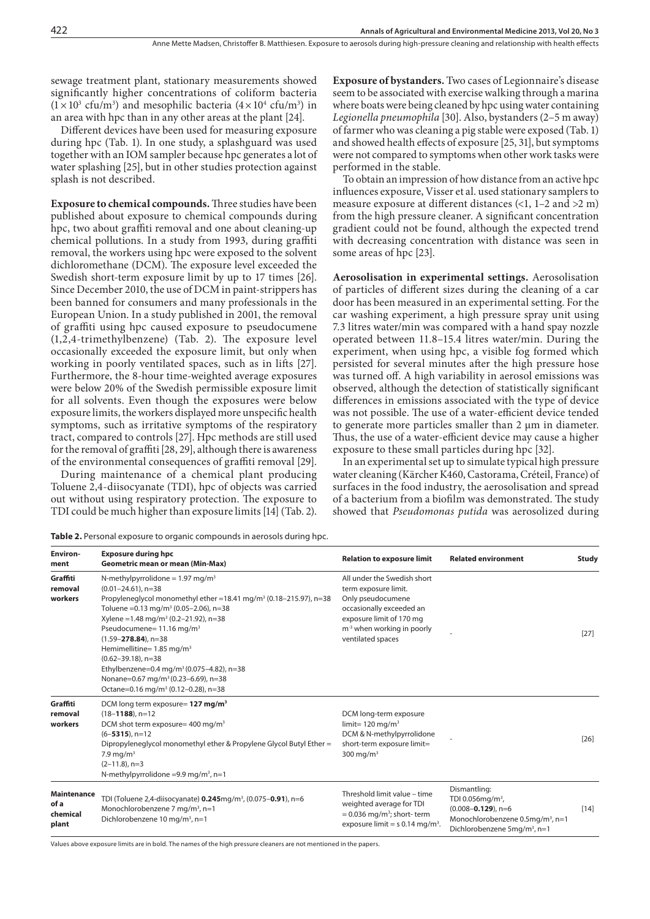sewage treatment plant, stationary measurements showed significantly higher concentrations of coliform bacteria  $(1 \times 10^3 \text{ cfu/m}^3)$  and mesophilic bacteria  $(4 \times 10^4 \text{ cfu/m}^3)$  in an area with hpc than in any other areas at the plant [24].

Different devices have been used for measuring exposure during hpc (Tab. 1). In one study, a splashguard was used together with an IOM sampler because hpc generates a lot of water splashing [25], but in other studies protection against splash is not described.

**Exposure to chemical compounds.** Three studies have been published about exposure to chemical compounds during hpc, two about graffiti removal and one about cleaning-up chemical pollutions. In a study from 1993, during graffiti removal, the workers using hpc were exposed to the solvent dichloromethane (DCM). The exposure level exceeded the Swedish short-term exposure limit by up to 17 times [26]. Since December 2010, the use of DCM in paint-strippers has been banned for consumers and many professionals in the European Union. In a study published in 2001, the removal of graffiti using hpc caused exposure to pseudocumene (1,2,4-trimethylbenzene) (Tab. 2). The exposure level occasionally exceeded the exposure limit, but only when working in poorly ventilated spaces, such as in lifts [27]. Furthermore, the 8-hour time-weighted average exposures were below 20% of the Swedish permissible exposure limit for all solvents. Even though the exposures were below exposure limits, the workers displayed more unspecific health symptoms, such as irritative symptoms of the respiratory tract, compared to controls [27]. Hpc methods are still used for the removal of graffiti [28, 29], although there is awareness of the environmental consequences of graffiti removal [29].

During maintenance of a chemical plant producing Toluene 2,4-diisocyanate (TDI), hpc of objects was carried out without using respiratory protection. The exposure to TDI could be much higher than exposure limits [14] (Tab. 2).

Table 2. Personal exposure to organic compounds in aerosols during hpc.

**Exposure of bystanders.** Two cases of Legionnaire's disease seem to be associated with exercise walking through a marina where boats were being cleaned by hpc using water containing *Legionella pneumophila* [30]. Also, bystanders (2–5 m away) of farmer who was cleaning a pig stable were exposed (Tab. 1) and showed health effects of exposure [25, 31], but symptoms were not compared to symptoms when other work tasks were performed in the stable.

To obtain an impression of how distance from an active hpc influences exposure, Visser et al. used stationary samplers to measure exposure at different distances  $\left($ <1, 1–2 and  $>2$  m) from the high pressure cleaner. A significant concentration gradient could not be found, although the expected trend with decreasing concentration with distance was seen in some areas of hpc [23].

**Aerosolisation in experimental settings.** Aerosolisation of particles of different sizes during the cleaning of a car door has been measured in an experimental setting. For the car washing experiment, a high pressure spray unit using 7.3 litres water/min was compared with a hand spay nozzle operated between 11.8–15.4 litres water/min. During the experiment, when using hpc, a visible fog formed which persisted for several minutes after the high pressure hose was turned off. A high variability in aerosol emissions was observed, although the detection of statistically significant differences in emissions associated with the type of device was not possible. The use of a water-efficient device tended to generate more particles smaller than 2 µm in diameter. Thus, the use of a water-efficient device may cause a higher exposure to these small particles during hpc [32].

In an experimental set up to simulate typical high pressure water cleaning (Kärcher K460, Castorama, Créteil, France) of surfaces in the food industry, the aerosolisation and spread of a bacterium from a biofilm was demonstrated. The study showed that *Pseudomonas putida* was aerosolized during

| Environ-<br>ment                                | <b>Exposure during hpc</b><br><b>Geometric mean or mean (Min-Max)</b>                                                                                                                                                                                                                                                                                                                                                                                                                                                                                                        | <b>Relation to exposure limit</b>                                                                                                                                                               | <b>Related environment</b>                                                                                                                                          | <b>Study</b> |
|-------------------------------------------------|------------------------------------------------------------------------------------------------------------------------------------------------------------------------------------------------------------------------------------------------------------------------------------------------------------------------------------------------------------------------------------------------------------------------------------------------------------------------------------------------------------------------------------------------------------------------------|-------------------------------------------------------------------------------------------------------------------------------------------------------------------------------------------------|---------------------------------------------------------------------------------------------------------------------------------------------------------------------|--------------|
| Graffiti<br>removal<br>workers                  | N-methylpyrrolidone = $1.97 \text{ mg/m}^3$<br>$(0.01 - 24.61)$ , n=38<br>Propyleneglycol monomethyl ether =18.41 mg/m <sup>3</sup> (0.18-215.97), n=38<br>Toluene = $0.13$ mg/m <sup>3</sup> (0.05-2.06), n=38<br>Xylene = 1.48 mg/m <sup>3</sup> (0.2-21.92), n=38<br>Pseudocumene= 11.16 mg/m <sup>3</sup><br>$(1.59 - 278.84)$ , n=38<br>Hemimellitine= 1.85 mg/m <sup>3</sup><br>$(0.62 - 39.18)$ , n=38<br>Ethylbenzene=0.4 mg/m <sup>3</sup> (0.075-4.82), n=38<br>Nonane=0.67 mg/m <sup>3</sup> (0.23-6.69), n=38<br>Octane=0.16 mg/m <sup>3</sup> (0.12-0.28), n=38 | All under the Swedish short<br>term exposure limit.<br>Only pseudocumene<br>occasionally exceeded an<br>exposure limit of 170 mg<br>m <sup>-3</sup> when working in poorly<br>ventilated spaces |                                                                                                                                                                     | $[27]$       |
| Graffiti<br>removal<br>workers                  | DCM long term exposure= 127 mg/m <sup>3</sup><br>$(18 - 1188)$ , n=12<br>DCM shot term exposure= $400 \text{ mg/m}^3$<br>$(6-5315)$ , n=12<br>Dipropyleneglycol monomethyl ether & Propylene Glycol Butyl Ether =<br>7.9 mg/m <sup>3</sup><br>$(2-11.8)$ , n=3<br>N-methylpyrrolidone = 9.9 mg/m <sup>3</sup> , n=1                                                                                                                                                                                                                                                          | DCM long-term exposure<br>limit= $120 \text{ mg/m}^3$<br>DCM & N-methylpyrrolidone<br>short-term exposure limit=<br>300 mg/m <sup>3</sup>                                                       |                                                                                                                                                                     | [26]         |
| <b>Maintenance</b><br>of a<br>chemical<br>plant | TDI (Toluene 2,4-diisocyanate) 0.245mg/m <sup>3</sup> , (0.075-0.91), n=6<br>Monochlorobenzene 7 mg/m <sup>3</sup> , n=1<br>Dichlorobenzene 10 mg/m <sup>3</sup> , n=1                                                                                                                                                                                                                                                                                                                                                                                                       | Threshold limit value - time<br>weighted average for TDI<br>$= 0.036$ mg/m <sup>3</sup> ; short- term<br>exposure limit = $s$ 0.14 mg/m <sup>3</sup> .                                          | Dismantling:<br>TDI 0.056mg/m <sup>3</sup> ,<br>$(0.008 - 0.129)$ , n=6<br>Monochlorobenzene 0.5mg/m <sup>3</sup> , n=1<br>Dichlorobenzene 5mg/m <sup>3</sup> , n=1 | $[14]$       |

Values above exposure limits are in bold. The names of the high pressure cleaners are not mentioned in the papers.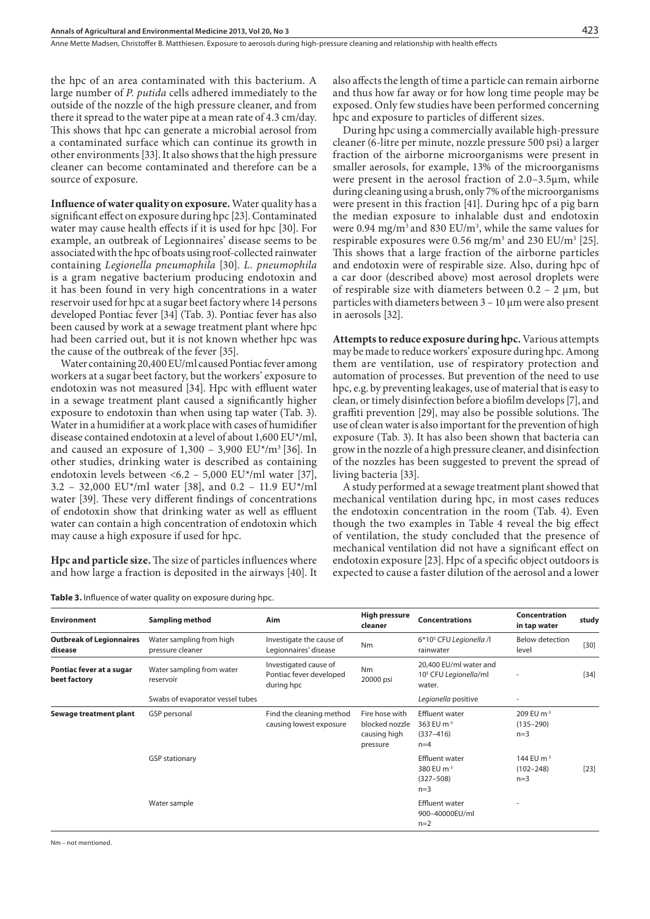the hpc of an area contaminated with this bacterium. A large number of *P. putida* cells adhered immediately to the outside of the nozzle of the high pressure cleaner, and from there it spread to the water pipe at a mean rate of 4.3 cm/day. This shows that hpc can generate a microbial aerosol from a contaminated surface which can continue its growth in other environments [33]. It also shows that the high pressure cleaner can become contaminated and therefore can be a source of exposure.

**Influence of water quality on exposure.** Water quality has a significant effect on exposure during hpc [23]. Contaminated water may cause health effects if it is used for hpc [30]. For example, an outbreak of Legionnaires' disease seems to be associated with the hpc of boats using roof-collected rainwater containing *Legionella pneumophila* [30]. *L. pneumophila* is a gram negative bacterium producing endotoxin and it has been found in very high concentrations in a water reservoir used for hpc at a sugar beet factory where 14 persons developed Pontiac fever [34] (Tab. 3). Pontiac fever has also been caused by work at a sewage treatment plant where hpc had been carried out, but it is not known whether hpc was the cause of the outbreak of the fever [35].

Water containing 20,400 EU/ml caused Pontiac fever among workers at a sugar beet factory, but the workers' exposure to endotoxin was not measured [34]. Hpc with effluent water in a sewage treatment plant caused a significantly higher exposure to endotoxin than when using tap water (Tab. 3). Water in a humidifier at a work place with cases of humidifier disease contained endotoxin at a level of about 1,600 EU\*/ml, and caused an exposure of  $1,300 - 3,900$   $EU^*/m^3$  [36]. In other studies, drinking water is described as containing endotoxin levels between <6.2 – 5,000 EU\*/ml water [37], 3.2 - 32,000 EU\*/ml water [38], and 0.2 - 11.9 EU\*/ml water [39]. These very different findings of concentrations of endotoxin show that drinking water as well as effluent water can contain a high concentration of endotoxin which may cause a high exposure if used for hpc.

**Hpc and particle size.** The size of particles influences where and how large a fraction is deposited in the airways [40]. It

| <b>Table 3.</b> Influence of water quality on exposure during hpc. |  |  |  |
|--------------------------------------------------------------------|--|--|--|
|--------------------------------------------------------------------|--|--|--|

also affects the length of time a particle can remain airborne and thus how far away or for how long time people may be exposed. Only few studies have been performed concerning hpc and exposure to particles of different sizes.

During hpc using a commercially available high-pressure cleaner (6-litre per minute, nozzle pressure 500 psi) a larger fraction of the airborne microorganisms were present in smaller aerosols, for example, 13% of the microorganisms were present in the aerosol fraction of 2.0–3.5µm, while during cleaning using a brush, only 7% of the microorganisms were present in this fraction [41]. During hpc of a pig barn the median exposure to inhalable dust and endotoxin were  $0.94 \text{ mg/m}^3$  and  $830 \text{ EU/m}^3$ , while the same values for respirable exposures were  $0.56 \text{ mg/m}^3$  and  $230 \text{ EU/m}^3$  [25]. This shows that a large fraction of the airborne particles and endotoxin were of respirable size. Also, during hpc of a car door (described above) most aerosol droplets were of respirable size with diameters between  $0.2 - 2 \mu m$ , but particles with diameters between  $3 - 10 \mu m$  were also present in aerosols [32].

**Attempts to reduce exposure during hpc.** Various attempts may be made to reduce workers' exposure during hpc. Among them are ventilation, use of respiratory protection and automation of processes. But prevention of the need to use hpc, e.g. by preventing leakages, use of material that is easy to clean, or timely disinfection before a biofilm develops [7], and graffiti prevention [29], may also be possible solutions. The use of clean water is also important for the prevention of high exposure (Tab. 3). It has also been shown that bacteria can grow in the nozzle of a high pressure cleaner, and disinfection of the nozzles has been suggested to prevent the spread of living bacteria [33].

A study performed at a sewage treatment plant showed that mechanical ventilation during hpc, in most cases reduces the endotoxin concentration in the room (Tab. 4). Even though the two examples in Table 4 reveal the big effect of ventilation, the study concluded that the presence of mechanical ventilation did not have a significant effect on endotoxin exposure [23]. Hpc of a specific object outdoors is expected to cause a faster dilution of the aerosol and a lower

| <b>Environment</b>                         | Sampling method                              | Aim                                                            | <b>High pressure</b><br>cleaner                              | <b>Concentrations</b>                                                     | Concentration<br>in tap water                    | study  |
|--------------------------------------------|----------------------------------------------|----------------------------------------------------------------|--------------------------------------------------------------|---------------------------------------------------------------------------|--------------------------------------------------|--------|
| <b>Outbreak of Legionnaires</b><br>disease | Water sampling from high<br>pressure cleaner | Investigate the cause of<br>Legionnaires' disease              | <b>Nm</b>                                                    | 6*10 <sup>5</sup> CFU Legionella /l<br>rainwater                          | <b>Below detection</b><br>level                  | $[30]$ |
| Pontiac fever at a sugar<br>beet factory   | Water sampling from water<br>reservoir       | Investigated cause of<br>Pontiac fever developed<br>during hpc | <b>Nm</b><br>20000 psi                                       | 20,400 EU/ml water and<br>10 <sup>5</sup> CFU Legionella/ml<br>water.     |                                                  | $[34]$ |
|                                            | Swabs of evaporator vessel tubes             |                                                                |                                                              | Legionella positive                                                       |                                                  |        |
| Sewage treatment plant                     | GSP personal                                 | Find the cleaning method<br>causing lowest exposure            | Fire hose with<br>blocked nozzle<br>causing high<br>pressure | <b>Effluent water</b><br>363 EU $m^{-3}$<br>$(337 - 416)$<br>$n=4$        | 209 EU m <sup>-3</sup><br>$(135 - 290)$<br>$n=3$ |        |
|                                            | <b>GSP</b> stationary                        |                                                                |                                                              | <b>Effluent water</b><br>380 EU m <sup>-3</sup><br>$(327 - 508)$<br>$n=3$ | 144 EU m <sup>-3</sup><br>$(102 - 248)$<br>$n=3$ | $[23]$ |
|                                            | Water sample                                 |                                                                |                                                              | <b>Effluent water</b><br>900-40000EU/ml<br>$n=2$                          |                                                  |        |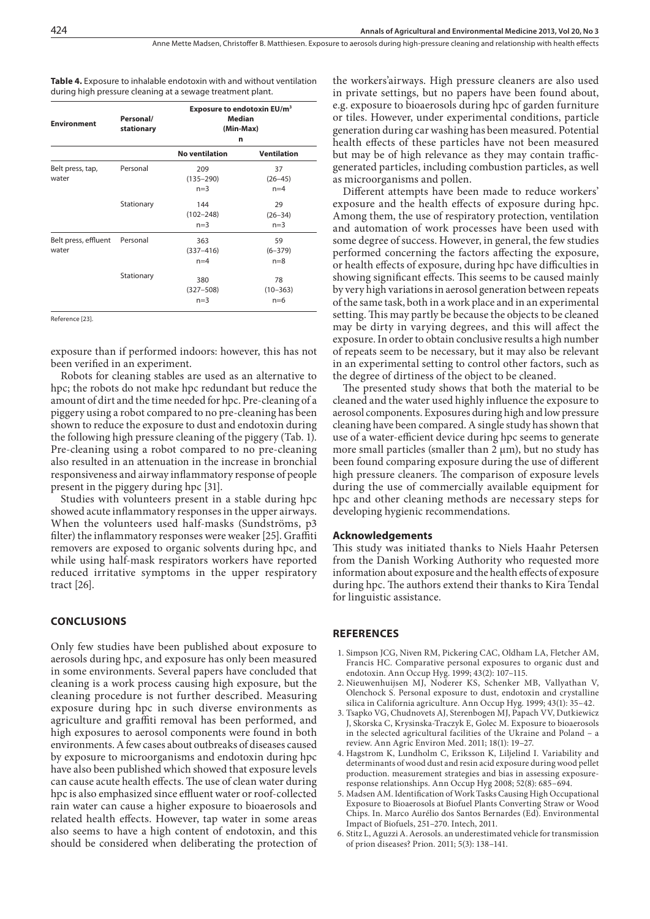**Table 4.** Exposure to inhalable endotoxin with and without ventilation during high pressure cleaning at a sewage treatment plant.

| <b>Environment</b>            | Personal/<br>stationary | Exposure to endotoxin EU/m <sup>3</sup><br>Median<br>(Min-Max)<br>n |                              |  |
|-------------------------------|-------------------------|---------------------------------------------------------------------|------------------------------|--|
|                               |                         | <b>No ventilation</b>                                               | <b>Ventilation</b>           |  |
| Belt press, tap,<br>water     | Personal                | 209<br>$(135 - 290)$<br>$n=3$                                       | 37<br>$(26 - 45)$<br>$n=4$   |  |
|                               | Stationary              | 144<br>$(102 - 248)$<br>$n=3$                                       | 29<br>$(26 - 34)$<br>$n=3$   |  |
| Belt press, effluent<br>water | Personal                | 363<br>$(337 - 416)$<br>$n=4$                                       | 59<br>$(6 - 379)$<br>$n = 8$ |  |
|                               | Stationary              | 380<br>$(327 - 508)$<br>$n=3$                                       | 78<br>$(10 - 363)$<br>$n=6$  |  |

Reference [23].

exposure than if performed indoors: however, this has not been verified in an experiment.

Robots for cleaning stables are used as an alternative to hpc; the robots do not make hpc redundant but reduce the amount of dirt and the time needed for hpc. Pre-cleaning of a piggery using a robot compared to no pre-cleaning has been shown to reduce the exposure to dust and endotoxin during the following high pressure cleaning of the piggery (Tab. 1). Pre-cleaning using a robot compared to no pre-cleaning also resulted in an attenuation in the increase in bronchial responsiveness and airway inflammatory response of people present in the piggery during hpc [31].

Studies with volunteers present in a stable during hpc showed acute inflammatory responses in the upper airways. When the volunteers used half-masks (Sundströms, p3 filter) the inflammatory responses were weaker [25]. Graffiti removers are exposed to organic solvents during hpc, and while using half-mask respirators workers have reported reduced irritative symptoms in the upper respiratory tract [26].

#### **CONCLUSIONS**

Only few studies have been published about exposure to aerosols during hpc, and exposure has only been measured in some environments. Several papers have concluded that cleaning is a work process causing high exposure, but the cleaning procedure is not further described. Measuring exposure during hpc in such diverse environments as agriculture and graffiti removal has been performed, and high exposures to aerosol components were found in both environments. A few cases about outbreaks of diseases caused by exposure to microorganisms and endotoxin during hpc have also been published which showed that exposure levels can cause acute health effects. The use of clean water during hpc is also emphasized since effluent water or roof-collected rain water can cause a higher exposure to bioaerosols and related health effects. However, tap water in some areas also seems to have a high content of endotoxin, and this should be considered when deliberating the protection of the workers'airways. High pressure cleaners are also used in private settings, but no papers have been found about, e.g. exposure to bioaerosols during hpc of garden furniture or tiles. However, under experimental conditions, particle generation during car washing has been measured. Potential health effects of these particles have not been measured but may be of high relevance as they may contain trafficgenerated particles, including combustion particles, as well as microorganisms and pollen.

Different attempts have been made to reduce workers' exposure and the health effects of exposure during hpc. Among them, the use of respiratory protection, ventilation and automation of work processes have been used with some degree of success. However, in general, the few studies performed concerning the factors affecting the exposure, or health effects of exposure, during hpc have difficulties in showing significant effects. This seems to be caused mainly by very high variations in aerosol generation between repeats of the same task, both in a work place and in an experimental setting. This may partly be because the objects to be cleaned may be dirty in varying degrees, and this will affect the exposure. In order to obtain conclusive results a high number of repeats seem to be necessary, but it may also be relevant in an experimental setting to control other factors, such as the degree of dirtiness of the object to be cleaned.

The presented study shows that both the material to be cleaned and the water used highly influence the exposure to aerosol components. Exposures during high and low pressure cleaning have been compared. A single study has shown that use of a water-efficient device during hpc seems to generate more small particles (smaller than  $2 \mu m$ ), but no study has been found comparing exposure during the use of different high pressure cleaners. The comparison of exposure levels during the use of commercially available equipment for hpc and other cleaning methods are necessary steps for developing hygienic recommendations.

#### **Acknowledgements**

This study was initiated thanks to Niels Haahr Petersen from the Danish Working Authority who requested more information about exposure and the health effects of exposure during hpc. The authors extend their thanks to Kira Tendal for linguistic assistance.

#### **REFERENCES**

- 1. Simpson JCG, Niven RM, Pickering CAC, Oldham LA, Fletcher AM, Francis HC. Comparative personal exposures to organic dust and endotoxin. Ann Occup Hyg. 1999; 43(2): 107–115.
- 2. Nieuwenhuijsen MJ, Noderer KS, Schenker MB, Vallyathan V, Olenchock S. Personal exposure to dust, endotoxin and crystalline silica in California agriculture. Ann Occup Hyg. 1999; 43(1): 35–42.
- 3. Tsapko VG, Chudnovets AJ, Sterenbogen MJ, Papach VV, Dutkiewicz J, Skorska C, Krysinska-Traczyk E, Golec M. Exposure to bioaerosols in the selected agricultural facilities of the Ukraine and Poland – a review. Ann Agric Environ Med. 2011; 18(1): 19–27.
- 4. Hagstrom K, Lundholm C, Eriksson K, Liljelind I. Variability and determinants of wood dust and resin acid exposure during wood pellet production. measurement strategies and bias in assessing exposureresponse relationships. Ann Occup Hyg 2008; 52(8): 685–694.
- 5. Madsen AM. Identification of Work Tasks Causing High Occupational Exposure to Bioaerosols at Biofuel Plants Converting Straw or Wood Chips. In. Marco Aurélio dos Santos Bernardes (Ed). Environmental Impact of Biofuels, 251–270. Intech, 2011.
- 6. Stitz L, Aguzzi A. Aerosols. an underestimated vehicle for transmission of prion diseases? Prion. 2011; 5(3): 138–141.